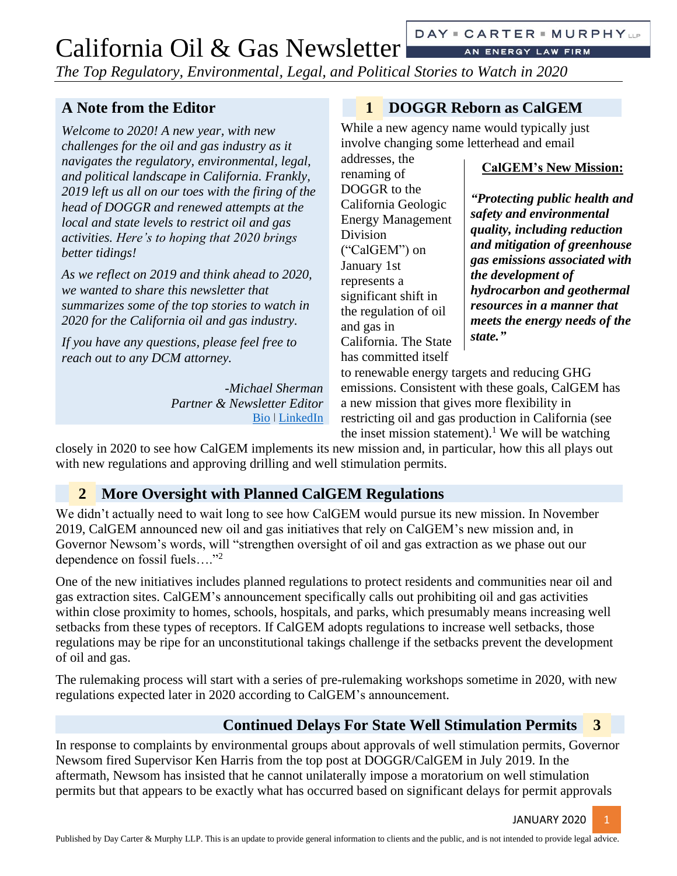AN ENERGY LAW FIRM

*The Top Regulatory, Environmental, Legal, and Political Stories to Watch in 2020*

addresses, the renaming of DOGGR to the California Geologic Energy Management

Division

and gas in

("CalGEM") on January 1st represents a

significant shift in the regulation of oil

California. The State has committed itself

#### **A Note from the Editor**

*Welcome to 2020! A new year, with new challenges for the oil and gas industry as it navigates the regulatory, environmental, legal, and political landscape in California. Frankly, 2019 left us all on our toes with the firing of the head of DOGGR and renewed attempts at the local and state levels to restrict oil and gas activities. Here's to hoping that 2020 brings better tidings!*

*As we reflect on 2019 and think ahead to 2020, we wanted to share this newsletter that summarizes some of the top stories to watch in 2020 for the California oil and gas industry.*

*If you have any questions, please feel free to reach out to any DCM attorney.*

> *-Michael Sherman Partner & Newsletter Editor* [Bio](https://daycartermurphy.com/michael-sherman/) ǀ [LinkedIn](https://www.linkedin.com/in/michael-sherman-25838b21/)

#### **1 DOGGR Reborn as CalGEM**

While a new agency name would typically just involve changing some letterhead and email

**CalGEM's New Mission:**

*"Protecting public health and safety and environmental quality, including reduction and mitigation of greenhouse gas emissions associated with the development of hydrocarbon and geothermal resources in a manner that meets the energy needs of the state."*

to renewable energy targets and reducing GHG emissions. Consistent with these goals, CalGEM has a new mission that gives more flexibility in restricting oil and gas production in California (see the inset mission statement).<sup>1</sup> We will be watching

closely in 2020 to see how CalGEM implements its new mission and, in particular, how this all plays out with new regulations and approving drilling and well stimulation permits.

#### <span id="page-0-0"></span>**2 More Oversight with Planned CalGEM Regulations**

We didn't actually need to wait long to see how CalGEM would pursue its new mission. In November 2019, CalGEM announced new oil and gas initiatives that rely on CalGEM's new mission and, in Governor Newsom's words, will "strengthen oversight of oil and gas extraction as we phase out our dependence on fossil fuels…."<sup>2</sup>

One of the new initiatives includes planned regulations to protect residents and communities near oil and gas extraction sites. CalGEM's announcement specifically calls out prohibiting oil and gas activities within close proximity to homes, schools, hospitals, and parks, which presumably means increasing well setbacks from these types of receptors. If CalGEM adopts regulations to increase well setbacks, those regulations may be ripe for an unconstitutional takings challenge if the setbacks prevent the development of oil and gas.

The rulemaking process will start with a series of pre-rulemaking workshops sometime in 2020, with new regulations expected later in 2020 according to CalGEM's announcement.

#### **Continued Delays For State Well Stimulation Permits 3**

In response to complaints by environmental groups about approvals of well stimulation permits, Governor Newsom fired Supervisor Ken Harris from the top post at DOGGR/CalGEM in July 2019. In the aftermath, Newsom has insisted that he cannot unilaterally impose a moratorium on well stimulation permits but that appears to be exactly what has occurred based on significant delays for permit approvals

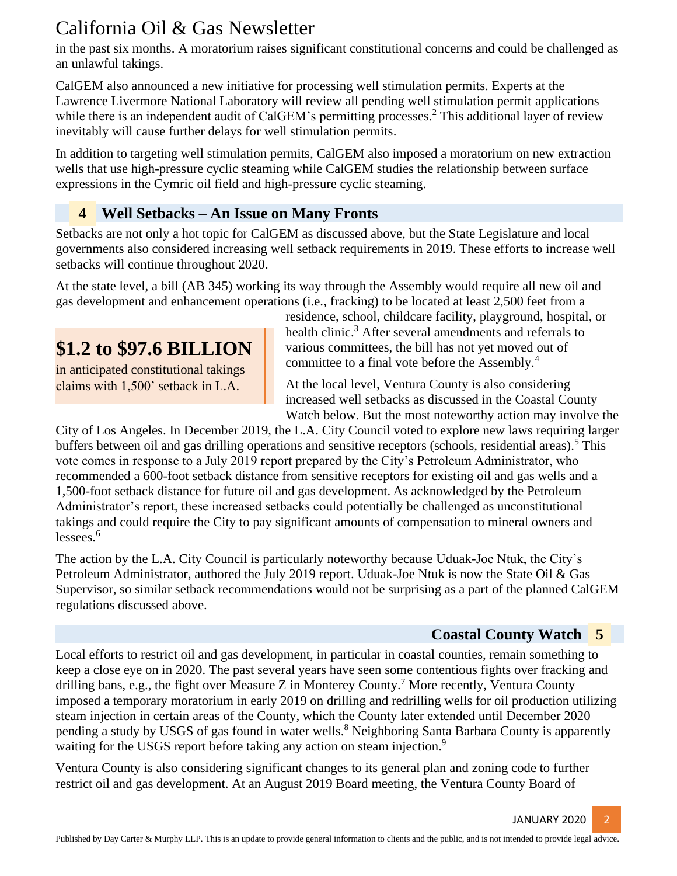in the past six months. A moratorium raises significant constitutional concerns and could be challenged as an unlawful takings.

CalGEM also announced a new initiative for processing well stimulation permits. Experts at the Lawrence Livermore National Laboratory will review all pending well stimulation permit applications while there is an independent audit of CalGEM's permitting processes.<sup>[2](#page-0-0)</sup> This additional layer of review inevitably will cause further delays for well stimulation permits.

In addition to targeting well stimulation permits, CalGEM also imposed a moratorium on new extraction wells that use high-pressure cyclic steaming while CalGEM studies the relationship between surface expressions in the Cymric oil field and high-pressure cyclic steaming.

#### **4 Well Setbacks – An Issue on Many Fronts**

Setbacks are not only a hot topic for CalGEM as discussed above, but the State Legislature and local governments also considered increasing well setback requirements in 2019. These efforts to increase well setbacks will continue throughout 2020.

At the state level, a bill (AB 345) working its way through the Assembly would require all new oil and gas development and enhancement operations (i.e., fracking) to be located at least 2,500 feet from a

# **\$1.2 to \$97.6 BILLION**

in anticipated constitutional takings claims with 1,500' setback in L.A.

residence, school, childcare facility, playground, hospital, or health clinic.<sup>3</sup> After several amendments and referrals to various committees, the bill has not yet moved out of committee to a final vote before the Assembly.<sup>4</sup>

At the local level, Ventura County is also considering increased well setbacks as discussed in the Coastal County Watch below. But the most noteworthy action may involve the

City of Los Angeles. In December 2019, the L.A. City Council voted to explore new laws requiring larger buffers between oil and gas drilling operations and sensitive receptors (schools, residential areas).<sup>5</sup> This vote comes in response to a July 2019 report prepared by the City's Petroleum Administrator, who recommended a 600-foot setback distance from sensitive receptors for existing oil and gas wells and a 1,500-foot setback distance for future oil and gas development. As acknowledged by the Petroleum Administrator's report, these increased setbacks could potentially be challenged as unconstitutional takings and could require the City to pay significant amounts of compensation to mineral owners and lessees. 6

The action by the L.A. City Council is particularly noteworthy because Uduak-Joe Ntuk, the City's Petroleum Administrator, authored the July 2019 report. Uduak-Joe Ntuk is now the State Oil & Gas Supervisor, so similar setback recommendations would not be surprising as a part of the planned CalGEM regulations discussed above.

#### **Coastal County Watch 5**

Local efforts to restrict oil and gas development, in particular in coastal counties, remain something to keep a close eye on in 2020. The past several years have seen some contentious fights over fracking and drilling bans, e.g., the fight over Measure Z in Monterey County.<sup>7</sup> More recently, Ventura County imposed a temporary moratorium in early 2019 on drilling and redrilling wells for oil production utilizing steam injection in certain areas of the County, which the County later extended until December 2020 pending a study by USGS of gas found in water wells.<sup>8</sup> Neighboring Santa Barbara County is apparently waiting for the USGS report before taking any action on steam injection.<sup>9</sup>

Ventura County is also considering significant changes to its general plan and zoning code to further restrict oil and gas development. At an August 2019 Board meeting, the Ventura County Board of

JANUARY 2020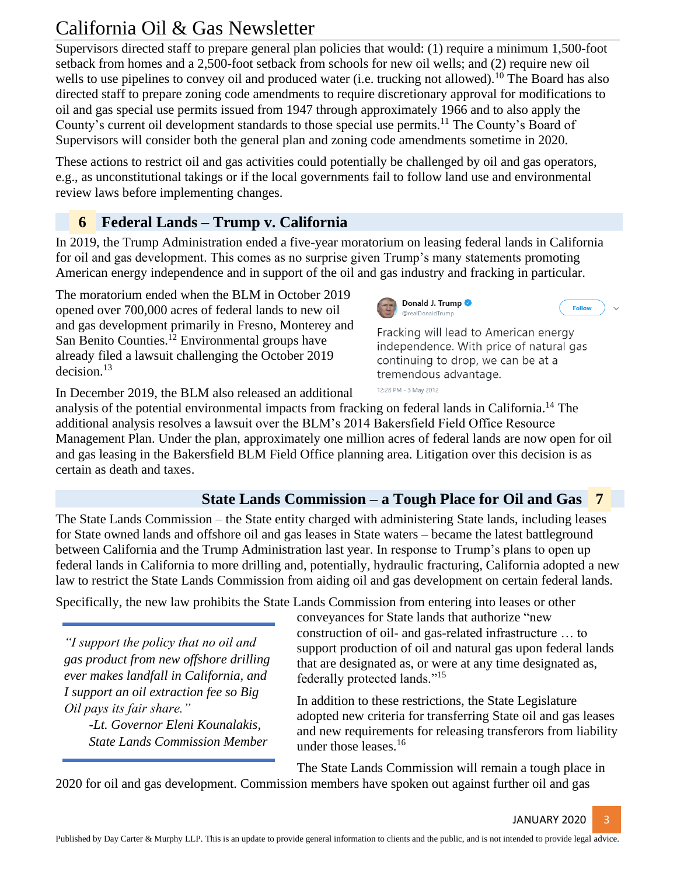Supervisors directed staff to prepare general plan policies that would: (1) require a minimum 1,500-foot setback from homes and a 2,500-foot setback from schools for new oil wells; and (2) require new oil wells to use pipelines to convey oil and produced water (i.e. trucking not allowed).<sup>10</sup> The Board has also directed staff to prepare zoning code amendments to require discretionary approval for modifications to oil and gas special use permits issued from 1947 through approximately 1966 and to also apply the County's current oil development standards to those special use permits.<sup>11</sup> The County's Board of Supervisors will consider both the general plan and zoning code amendments sometime in 2020.

These actions to restrict oil and gas activities could potentially be challenged by oil and gas operators, e.g., as unconstitutional takings or if the local governments fail to follow land use and environmental review laws before implementing changes.

#### **6 Federal Lands – Trump v. California**

In 2019, the Trump Administration ended a five-year moratorium on leasing federal lands in California for oil and gas development. This comes as no surprise given Trump's many statements promoting American energy independence and in support of the oil and gas industry and fracking in particular.

The moratorium ended when the BLM in October 2019 opened over 700,000 acres of federal lands to new oil and gas development primarily in Fresno, Monterey and San Benito Counties.<sup>12</sup> Environmental groups have already filed a lawsuit challenging the October 2019 decision.<sup>13</sup>

In December 2019, the BLM also released an additional

analysis of the potential environmental impacts from fracking on federal lands in California.<sup>14</sup> The additional analysis resolves a lawsuit over the BLM's 2014 Bakersfield Field Office Resource Management Plan. Under the plan, approximately one million acres of federal lands are now open for oil and gas leasing in the Bakersfield BLM Field Office planning area. Litigation over this decision is as certain as death and taxes.

#### **State Lands Commission – a Tough Place for Oil and Gas 7**

The State Lands Commission – the State entity charged with administering State lands, including leases for State owned lands and offshore oil and gas leases in State waters – became the latest battleground between California and the Trump Administration last year. In response to Trump's plans to open up federal lands in California to more drilling and, potentially, hydraulic fracturing, California adopted a new law to restrict the State Lands Commission from aiding oil and gas development on certain federal lands.

Specifically, the new law prohibits the State Lands Commission from entering into leases or other

*"I support the policy that no oil and gas product from new offshore drilling ever makes landfall in California, and I support an oil extraction fee so Big Oil pays its fair share."*

> *-Lt. Governor Eleni Kounalakis, State Lands Commission Member*

conveyances for State lands that authorize "new construction of oil- and gas-related infrastructure … to support production of oil and natural gas upon federal lands that are designated as, or were at any time designated as, federally protected lands."<sup>15</sup>

In addition to these restrictions, the State Legislature adopted new criteria for transferring State oil and gas leases and new requirements for releasing transferors from liability under those leases.  $16$ 

The State Lands Commission will remain a tough place in

2020 for oil and gas development. Commission members have spoken out against further oil and gas



Follow @realDonaldTrump Fracking will lead to American energy independence. With price of natural gas



12:28 PM - 3 May 2012

Donald J. Trump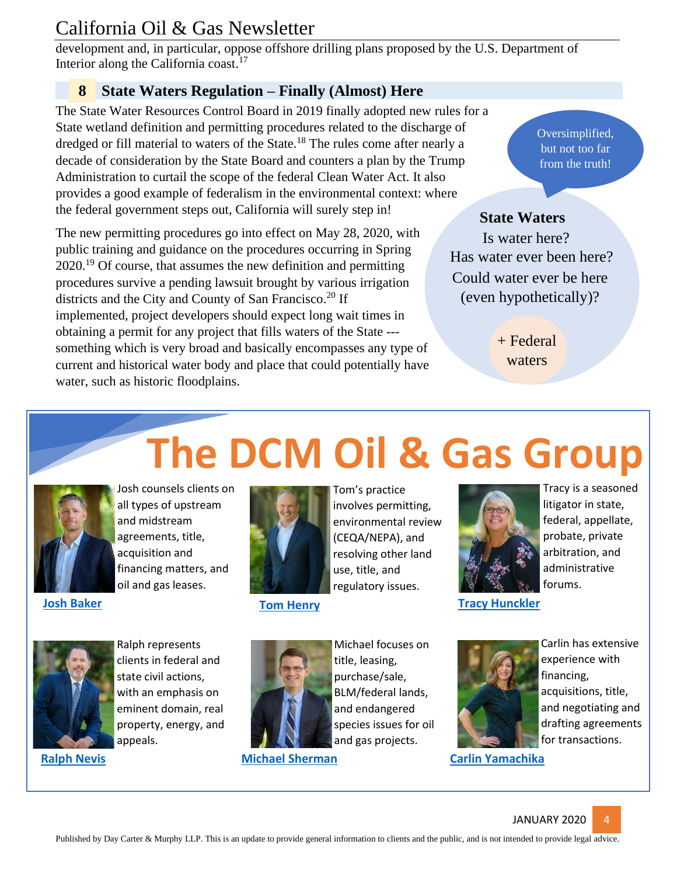development and, in particular, oppose offshore drilling plans proposed by the U.S. Department of Interior along the California coast.<sup>17</sup>

#### **8 State Waters Regulation – Finally (Almost) Here**

The State Water Resources Control Board in 2019 finally adopted new rules for a State wetland definition and permitting procedures related to the discharge of dredged or fill material to waters of the State.<sup>18</sup> The rules come after nearly a decade of consideration by the State Board and counters a plan by the Trump Administration to curtail the scope of the federal Clean Water Act. It also provides a good example of federalism in the environmental context: where the federal government steps out, California will surely step in!

The new permitting procedures go into effect on May 28, 2020, with public training and guidance on the procedures occurring in Spring 2020.<sup>19</sup> Of course, that assumes the new definition and permitting procedures survive a pending lawsuit brought by various irrigation districts and the City and County of San Francisco.<sup>20</sup> If implemented, project developers should expect long wait times in obtaining a permit for any project that fills waters of the State -- something which is very broad and basically encompasses any type of current and historical water body and place that could potentially have water, such as historic floodplains.

#### Oversimplified, but not too far from the truth!

#### **State Waters**

Is water here? Has water ever been here? Could water ever be here (even hypothetically)?

> + Federal waters

# **The DCM Oil & Gas Group**



Josh counsels clients on all types of upstream and midstream agreements, title, acquisition and financing matters, and oil and gas leases.



Tom's practice involves permitting, environmental review (CEQA/NEPA), and resolving other land use, title, and

regulatory issues.



Tracy is a seasoned litigator in state, federal, appellate, probate, private arbitration, and administrative forums.

**The Industry [Tom Henry](https://daycartermurphy.com/attorneys/thomas-a-henry/) [Tracy Hunckler](https://daycartermurphy.com/attorneys/tracy-k-hunckler/) Tracy Hunckler** 



Ralph represents clients in federal and state civil actions, with an emphasis on eminent domain, real property, energy, and appeals.



title, leasing, purchase/sale, BLM/federal lands, and endangered species issues for oil and gas projects.

Michael focuses on

**[Michael Sherman](https://daycartermurphy.com/michael-sherman/) [Ralph Nevis](https://daycartermurphy.com/attorneys/ralph-r-nevis/) [Carlin Yamachika](https://daycartermurphy.com/carlin-a-yamachika/)**



Carlin has extensive experience with financing, acquisitions, title, and negotiating and drafting agreements for transactions.